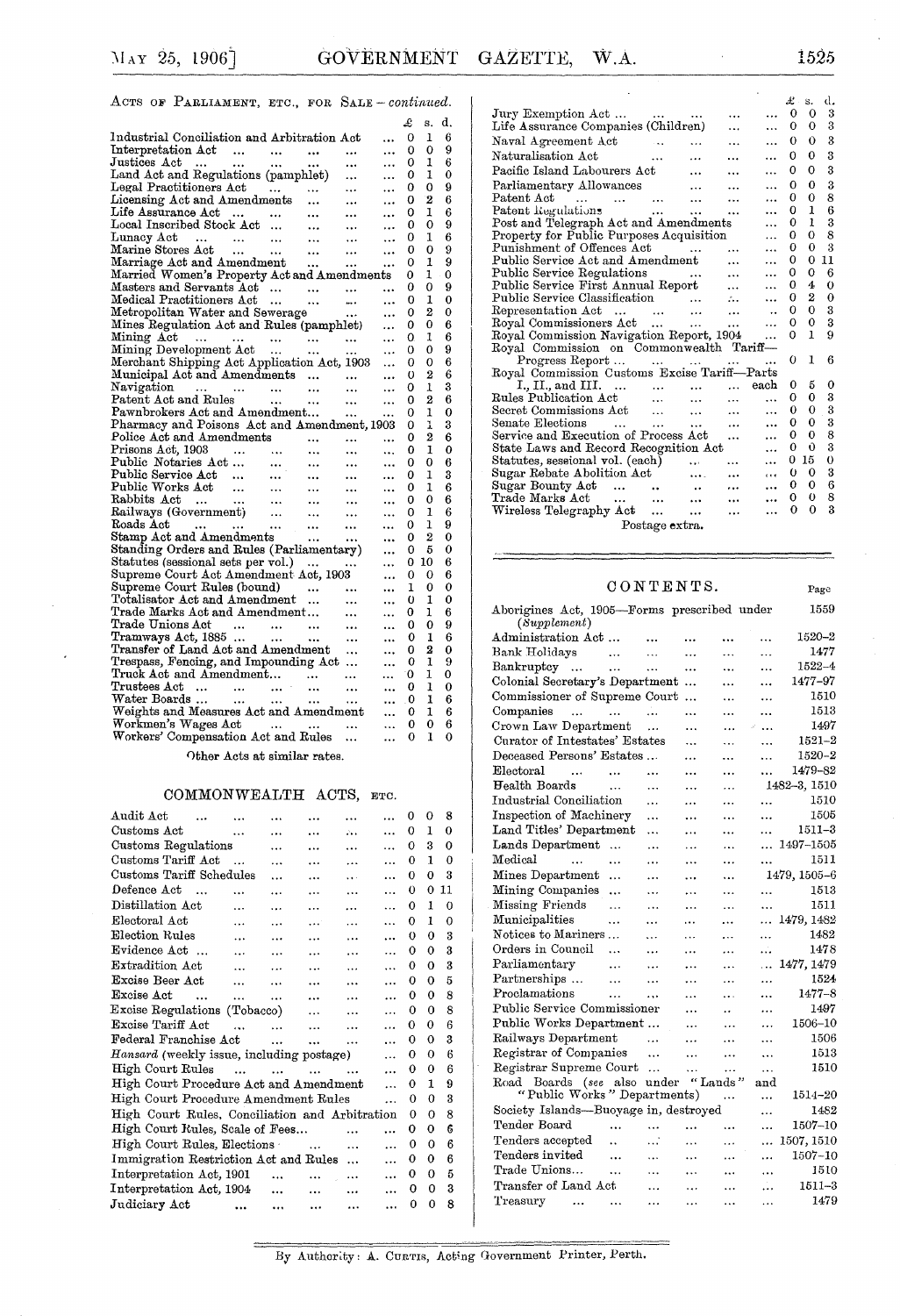Page

### ACTS OF PARLIAMENT, ETC., FOR SALE - continued.

|                                                                                                                                              |                                       |           | £        | s. | d. |
|----------------------------------------------------------------------------------------------------------------------------------------------|---------------------------------------|-----------|----------|----|----|
| Industrial Conciliation and Arbitration Act                                                                                                  |                                       |           | 0        | 1  | 6  |
| Interpretation Act<br>$\sim$ $\sim$                                                                                                          | $\sim$                                | $\ddotsc$ | 0        | 0  | 9  |
| $Justices$ $Act$<br>$\sim 100$ km s $^{-1}$<br>$\bullet$ .<br><br><br><br><br><br><br><br><br><br><br><br><br>$\sim 100$ $\sim$<br>$\cdots$  | $\cdots$                              |           | 0        | 1  | 6  |
| Land Act and Regulations (pamphlet)<br>Legal Practitioners Act<br>Licensing Act and Amendments<br>Life Assurance Act<br>Local Inseries State |                                       |           | 0        | 1  | 0  |
|                                                                                                                                              |                                       |           | 0        | 0  | 9  |
|                                                                                                                                              |                                       |           | 0        | 2  | 6  |
|                                                                                                                                              |                                       |           | 0        | ı  | 6  |
| Local Inscribed Stock Act                                                                                                                    | $\ddotsc$                             | .         | 0        | 0  | 9  |
| $\frac{1}{2}$<br>$\rm{Lunacy \; Act}$<br>Lunacy Act<br>Marine Stores Act<br>Marriage Act and Amendment                                       |                                       |           | 0        | 1  | 6  |
|                                                                                                                                              |                                       |           | 0        | 0  | 9  |
|                                                                                                                                              |                                       |           | 0        | 1  | 9  |
| Married Women's Property Act and Amendments                                                                                                  |                                       |           | 0        | 1  | 0  |
| Masters and Servants Act                                                                                                                     |                                       |           | 0        | 0  | 9  |
| Medical Practitioners Act<br>$\ddotsc$<br>$\ldots$ .                                                                                         | $\sim$                                | $\cdots$  | 0        | 1  | 0  |
| Metropolitan Water and Sewerage                                                                                                              |                                       | $\ddotsc$ | 0        | 2  | 0  |
| Mines Regulation Act and Rules (pamphlet)                                                                                                    |                                       |           | 0        | 0  | 6  |
| Mining Act<br>Mining Development Act                                                                                                         |                                       | $\ddotsc$ | 0.       | 1  | 6  |
|                                                                                                                                              |                                       | $\ddotsc$ | 0        | 0  | 9  |
| Merchant Shipping Act Application Act, 1903                                                                                                  |                                       | $\ddotsc$ | O        | 0  | 6  |
| Municipal Act and Amendments                                                                                                                 |                                       | $\cdots$  | $\bf{0}$ | 2  | 6  |
| Navigation<br>Patent Act and Rules                                                                                                           | $\cdots$                              | $\ddotsc$ | 0        | 1  | 3  |
|                                                                                                                                              | $\sim 100$ .                          | $\ddotsc$ | 0        | 2  | 6  |
| Pawnbrokers Act and Amendment                                                                                                                | $\ldots$ .                            |           | 0        | 1  | 0  |
| Pharmacy and Poisons Act and Amendment, 1903                                                                                                 |                                       |           | 0        | ı  | 3  |
| Police Act and Amendments<br>$\cdots$                                                                                                        |                                       |           | 0        | 2  | 6  |
| $\cdots$                                                                                                                                     | $\cdots$                              |           | 0        | 1  | 0  |
| $\cdots$                                                                                                                                     | $\cdots$                              |           | 0        | 0  | 6  |
| Public Service Act<br>$\cdots$                                                                                                               | $\cdots$                              |           | 0        | 1  | 3  |
|                                                                                                                                              | $\cdots$                              |           | 0        | ı  | 6  |
|                                                                                                                                              | $\rightarrow \rightarrow +$           |           | 0        | 0  | 6  |
|                                                                                                                                              | $\cdots$                              |           | 0        | ı  | 6  |
|                                                                                                                                              | $\cdots$                              | $\ddotsc$ | 0        | 1  | 9  |
|                                                                                                                                              | $\rightarrow \rightarrow \rightarrow$ |           | 0        | 2  | 0  |
| Standing Orders and Rules (Parliamentary)                                                                                                    |                                       |           | 0        | 5  | 0  |
| Statutes (sessional sets per vol.)<br>$\sim$ $\sim$                                                                                          |                                       |           | 0        | 10 | 6  |
| Supreme Court Act Amendment Act, 1903                                                                                                        |                                       |           | 0        | 0  | 6  |
| Supreme Court Rules (bound)                                                                                                                  | $\sim$ $\sim$                         |           | 1        | 0  | 0  |
| Totalisator Act and Amendment                                                                                                                | $\ddotsc$                             |           | 0        | 1  | 0  |
| Trade Marks Act and Amendment                                                                                                                | $\cdots$                              |           | 0        | ı  | 6  |
|                                                                                                                                              | $\ddotsc$                             |           | 0        | 0  | 9  |
|                                                                                                                                              | $\cdots$                              |           | 0        | 1  | 6  |
| Transfer of Land Act and Amendment                                                                                                           | $\ldots$                              |           | 0        | 2  | 0  |
| Trespass, Fencing, and Impounding Act                                                                                                        |                                       |           | 0        | 1  | 9  |
|                                                                                                                                              |                                       |           | 0        | 1  | 0  |
|                                                                                                                                              |                                       | .         | 0        | ı  | 0  |
| Water Boards<br>$\mathbf{r}$ and $\mathbf{r}$ and $\mathbf{r}$                                                                               | $\cdots$                              |           | 0        | 1  | 6  |
| Weights and Measures Act and Amendment                                                                                                       |                                       |           | 0        | 1  | 6  |
| Workmen's Wages Act                                                                                                                          | $\cdots$                              |           | 0        | 0  | 6  |
| Workers' Compensation Act and Rules                                                                                                          |                                       |           | 0        | 1  | 0  |
|                                                                                                                                              |                                       |           |          |    |    |

Other Acts at similar rates.

#### COMMONWEALTH ACTS, ETC.

| 0              | 0                                              | 8        |    |
|----------------|------------------------------------------------|----------|----|
| 0              | 1                                              | $\Omega$ |    |
| 0              | 3                                              | $\Omega$ |    |
| 0              | $\mathbf{1}$                                   | 0        |    |
| 0              | 0                                              | 3        |    |
| O              | $\theta$                                       |          |    |
| 0              | 1                                              | $\Omega$ |    |
| 0              | 1                                              | 0        |    |
| 0              | 0                                              | 3        |    |
| 0              | 0                                              | 3        |    |
| 0              | 0                                              | 3        |    |
| 0              | O                                              | 5        |    |
| 0              | 0                                              | 8        |    |
| 0              | $\theta$                                       | 8        |    |
| 0              | 0                                              | 6        |    |
| 0              | $\Omega$                                       | 3        |    |
| 0              | 0                                              | 6        |    |
| 0              | 0                                              | 6        |    |
| 0              | 1                                              | 9        |    |
| 0              | 0                                              | 3        |    |
| 0              | 0                                              | 8        |    |
| 0              | 0                                              | 6        |    |
| 0              | 0                                              | 6        |    |
| 0              | 0                                              | 6        |    |
| 0              | $\Omega$                                       | 5        |    |
| 0              | 0                                              | 3        |    |
| 0              | $\theta$                                       | 8        |    |
| .<br>$\ddotsc$ | High Court Rules, Conciliation and Arbitration |          | 11 |

|                                                                 |                            |           | £.       | s.           | d.          |  |  |
|-----------------------------------------------------------------|----------------------------|-----------|----------|--------------|-------------|--|--|
|                                                                 |                            | $\ddotsc$ | $\bf{0}$ | $\Omega$     | 3           |  |  |
| Life Assurance Companies (Children)                             |                            |           | 0        | $\Omega$     | 3           |  |  |
| Naval Agreement Act<br>$\ddotsc$                                |                            | .         | 0        | 0            | 3           |  |  |
| Naturalisation Act<br>and the contract of the con-              |                            |           | 0        | $\bf{0}$     | 3           |  |  |
| Pacific Island Labourers Act                                    |                            | .         | 0        | 0            | 3           |  |  |
| Parliamentary Allowances                                        |                            |           | 0        | 0            | 3           |  |  |
| Patent Act                                                      |                            |           | 0        | 0            | 8           |  |  |
| Patent Regulations                                              |                            | .         | 0        | 1            | 6           |  |  |
| Post and Telegraph Act and Amendments                           |                            | .         | 0        | 1            | 3           |  |  |
| Property for Public Purposes Acquisition                        |                            |           | 0        | $\theta$     | 8           |  |  |
| Punishment of Offences Act<br><b>Contract Contract Contract</b> | $\cdots$                   | .         | 0        | $\mathbf 0$  | 3           |  |  |
| Public Service Act and Amendment                                |                            |           | 0        | 0            | 11          |  |  |
| Public Service Regulations<br>and the contract and              |                            |           | 0        | 0            | 6           |  |  |
| Public Service First Annual Report                              | $\ddotsc$                  |           | 0        | 4            | $\mathbf 0$ |  |  |
| Public Service Classification                                   | $\mathcal{L}_{\text{max}}$ |           | 0        | 2            | $\bf{0}$    |  |  |
|                                                                 | $\ddotsc$                  |           | 0        | 0            | 3           |  |  |
| Representation Act<br>Royal Commissioners Act                   | $\ddotsc$                  |           | 0        | $\mathbf 0$  | 3           |  |  |
| Royal Commission Navigation Report, 1904                        |                            | $\cdots$  | 0        | $\mathbf{1}$ | 9           |  |  |
| Royal Commission on Commonwealth Tariff-                        |                            |           |          |              |             |  |  |
| Progress Report                                                 |                            |           | O)       | 1            | 6           |  |  |
| Royal Commission Customs Excise Tariff-Parts                    |                            |           |          |              |             |  |  |
| I., II., and III.<br>ss Publication Act                         |                            | each      | 0        | 5            | 0           |  |  |
|                                                                 | $\ddotsc$                  | $\cdots$  | 0        | 0            | 3           |  |  |
|                                                                 | $\ddotsc$                  | .         | 0        | 0            | 3           |  |  |
| Senate Elections                                                | $\cdots$                   | .         | 0        | 0            | 3           |  |  |
| Service and Execution of Process Act                            |                            | .         | 0        | 0            | 8           |  |  |
| State Laws and Record Recognition Act                           |                            | .         | 0        | Û            | 3           |  |  |
| Statutes, sessional vol. (each)                                 | $\cdots$                   | .         | 0        | 15           | $\theta$    |  |  |
| Sugar Rebate Abolition Act<br>$\cdots$                          | $\ddotsc$                  | $\cdots$  | $\theta$ | 0            | 3           |  |  |
| Sugar Bounty Act                                                |                            |           | 0        | 0            | 6           |  |  |
| Trade Marks Act                                                 |                            |           | 0        | $\bf{0}$     | 8           |  |  |
| Wireless Telegraphy Act                                         |                            | .         | 0        | 0            | 3           |  |  |
| Postage extra.                                                  |                            |           |          |              |             |  |  |
|                                                                 |                            |           |          |              |             |  |  |

### $\begin{tabular}{ccccc} C & O & N & T & E & N & T & S \\ \hline \end{tabular}$

| Aborigines Act, 1905—Forms prescribed under<br>(Supplement) |           |            |           |                      |           | 1559         |
|-------------------------------------------------------------|-----------|------------|-----------|----------------------|-----------|--------------|
| Administration Act                                          |           |            | $\ddotsc$ |                      |           | 1520-2       |
| Bank Holidays                                               | $\ddotsc$ | $\ddotsc$  | .         | .                    | .         | 1477         |
| Bankruptcy<br>$\ddotsc$                                     | .         |            |           |                      |           | 1522-4       |
| Colonial Secretary's Department                             |           |            | $\ddotsc$ | .                    |           | 1477–97      |
| Commissioner of Supreme Court                               |           |            |           | .                    | .         | 1510         |
| Companies<br>$\ddotsc$                                      | $\ddotsc$ |            |           | $\ddotsc$            |           | 1513         |
| Crown Law Department                                        |           | $\ddotsc$  | $\cdot$ . | .                    | $\ddotsc$ | 1497         |
| Curator of Intestates' Estates                              |           |            |           | .                    |           | $1521 - 2$   |
| Deceased Persons' Estates                                   |           |            | .         | .                    | .         | $1520 - 2$   |
| ${\rm Electoral}$<br>$\sim$                                 | $\ddotsc$ | .          |           |                      | .         | 1479-82      |
| Health Boards                                               | $\cdots$  | .          | .         | .                    |           | 1482-3, 1510 |
| Industrial Conciliation                                     |           | .          | .         |                      | .         | 1510         |
| Inspection of Machinery                                     |           | .          |           |                      | .         | 1505         |
| Land Titles' Department                                     |           | .          | .         |                      |           | 1511-3       |
| Lands Department                                            | $\ddotsc$ |            | .         |                      | .         | 1497-1505    |
| $_{\rm Medical}$<br>$\ddotsc$                               | .         | .          |           |                      |           | 1511         |
| Mines Department                                            | .         | .          | .         |                      |           | 1479, 1505-6 |
| Mining Companies                                            |           | $\ddotsc$  | .         | .                    |           | 1513         |
| Missing Friends                                             | $\ddotsc$ | $\ddotsc$  | .         | $\ddotsc$            | .         | 1511         |
| Municipalities                                              | .         | $\ddotsc$  | .         | .                    | .         | 1479, 1482   |
| Notices to Mariners                                         |           | $\ddotsc$  | .         | .                    | .         | 1482         |
| Orders in Council                                           | $\ddotsc$ | $\ddotsc$  | .         | $\ldots$             | .         | 1478         |
| Parliamentary                                               | $\ddotsc$ | .          | .         | .                    | $\cdots$  | 1477, 1479   |
| Partnerships                                                | $\ddotsc$ |            | .         | .                    |           | 1524         |
| Proclamations                                               | .         | .          |           | $\ldots$             |           | $1477 - 8$   |
| Public Service Commissioner                                 |           |            | .         | $\ddot{\phantom{0}}$ | .         | 1497         |
| Public Works Department                                     |           |            |           | $\ddotsc$            |           | 1506-10      |
| Railways Department                                         |           | .          |           | $\cdots$             | .         | 1506         |
| Registrar of Companies                                      |           | $\ddotsc$  | $\ddotsc$ | .                    | $\ddotsc$ | 1513         |
| Registrar Supreme Court                                     |           | $\dddotsc$ | .         | .                    | $\cdots$  | 1510         |
| Road Boards (see also under                                 |           |            | "Lands"   |                      | and       |              |
| "Public Works" Departments)                                 |           |            |           | .                    | .         | 1514–20      |
| Society Islands-Buoyage in, destroyed                       |           |            |           |                      |           | 1482         |
| Tender Board                                                |           | $\ddotsc$  | .         |                      |           | 1507-10      |
| Tenders accepted                                            | Ω.        | $\ldots$   | .         |                      |           | 1507, 1510   |
| Tenders invited                                             | $\ddotsc$ | .          | .         | $\ddotsc$            | .         | $1507 - 10$  |
| Trade Unions                                                | $\ddotsc$ | .          | .         |                      |           | 1510         |
| Transfer of Land Act                                        |           | .          | $\ddotsc$ |                      |           | $1511 - 3$   |
| Treasury<br>$\ddotsc$                                       |           |            |           |                      |           | 1479         |
|                                                             |           |            |           |                      |           |              |